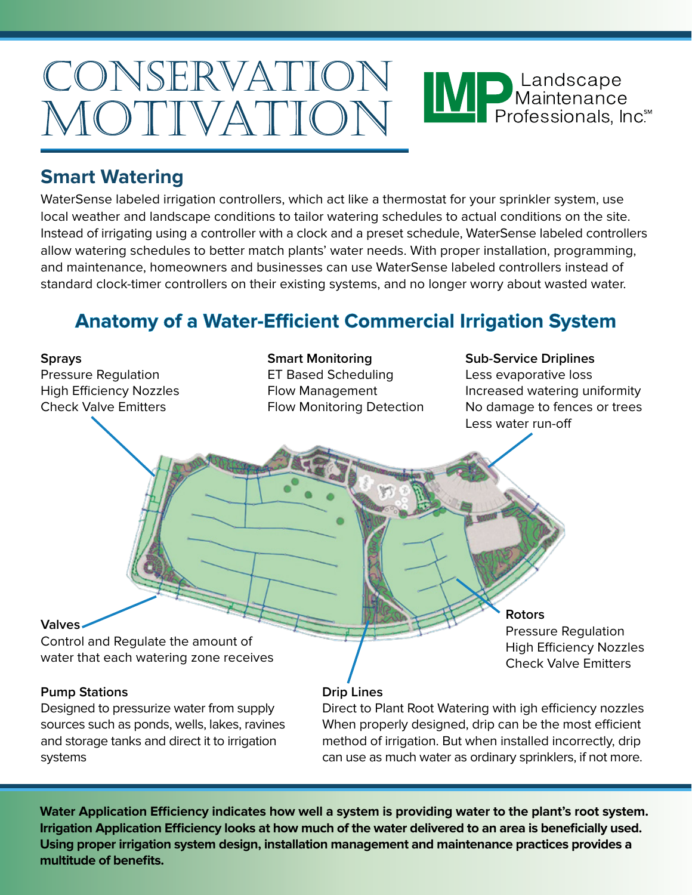## CONSERVATION MP Maintenance<br>Professionals, Inc. MOTIVATION

#### **Smart Watering**

WaterSense labeled irrigation controllers, which act like a thermostat for your sprinkler system, use local weather and landscape conditions to tailor watering schedules to actual conditions on the site. Instead of irrigating using a controller with a clock and a preset schedule, WaterSense labeled controllers allow watering schedules to better match plants' water needs. With proper installation, programming, and maintenance, homeowners and businesses can use WaterSense labeled controllers instead of standard clock-timer controllers on their existing systems, and no longer worry about wasted water.

## **Anatomy of a Water-Efficient Commercial Irrigation System**



**Irrigation Application Efficiency looks at how much of the water delivered to an area is beneficially used. Using proper irrigation system design, installation management and maintenance practices provides a multitude of benefits.**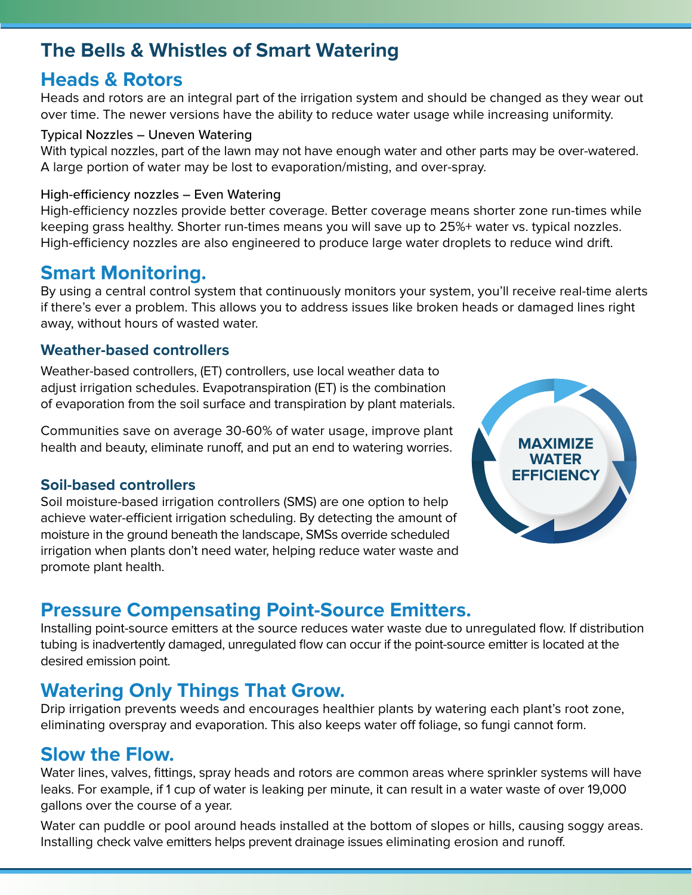#### **The Bells & Whistles of Smart Watering**

#### **Heads & Rotors**

Heads and rotors are an integral part of the irrigation system and should be changed as they wear out over time. The newer versions have the ability to reduce water usage while increasing uniformity.

#### Typical Nozzles – Uneven Watering

With typical nozzles, part of the lawn may not have enough water and other parts may be over-watered. A large portion of water may be lost to evaporation/misting, and over-spray.

#### High-efficiency nozzles – Even Watering

High-efficiency nozzles provide better coverage. Better coverage means shorter zone run-times while keeping grass healthy. Shorter run-times means you will save up to 25%+ water vs. typical nozzles. High-efficiency nozzles are also engineered to produce large water droplets to reduce wind drift.

#### **Smart Monitoring.**

By using a central control system that continuously monitors your system, you'll receive real-time alerts if there's ever a problem. This allows you to address issues like broken heads or damaged lines right away, without hours of wasted water.

#### **Weather-based controllers**

Weather-based controllers, (ET) controllers, use local weather data to adjust irrigation schedules. Evapotranspiration (ET) is the combination of evaporation from the soil surface and transpiration by plant materials.

Communities save on average 30-60% of water usage, improve plant health and beauty, eliminate runoff, and put an end to watering worries.

#### **Soil-based controllers**

Soil moisture-based irrigation controllers (SMS) are one option to help achieve water-efficient irrigation scheduling. By detecting the amount of moisture in the ground beneath the landscape, SMSs override scheduled irrigation when plants don't need water, helping reduce water waste and promote plant health.



#### **Pressure Compensating Point-Source Emitters.**

Installing point-source emitters at the source reduces water waste due to unregulated flow. If distribution tubing is inadvertently damaged, unregulated flow can occur if the point-source emitter is located at the desired emission point.

#### **Watering Only Things That Grow.**

Drip irrigation prevents weeds and encourages healthier plants by watering each plant's root zone, eliminating overspray and evaporation. This also keeps water off foliage, so fungi cannot form.

#### **Slow the Flow.**

Water lines, valves, fittings, spray heads and rotors are common areas where sprinkler systems will have leaks. For example, if 1 cup of water is leaking per minute, it can result in a water waste of over 19,000 gallons over the course of a year.

Water can puddle or pool around heads installed at the bottom of slopes or hills, causing soggy areas. Installing check valve emitters helps prevent drainage issues eliminating erosion and runoff.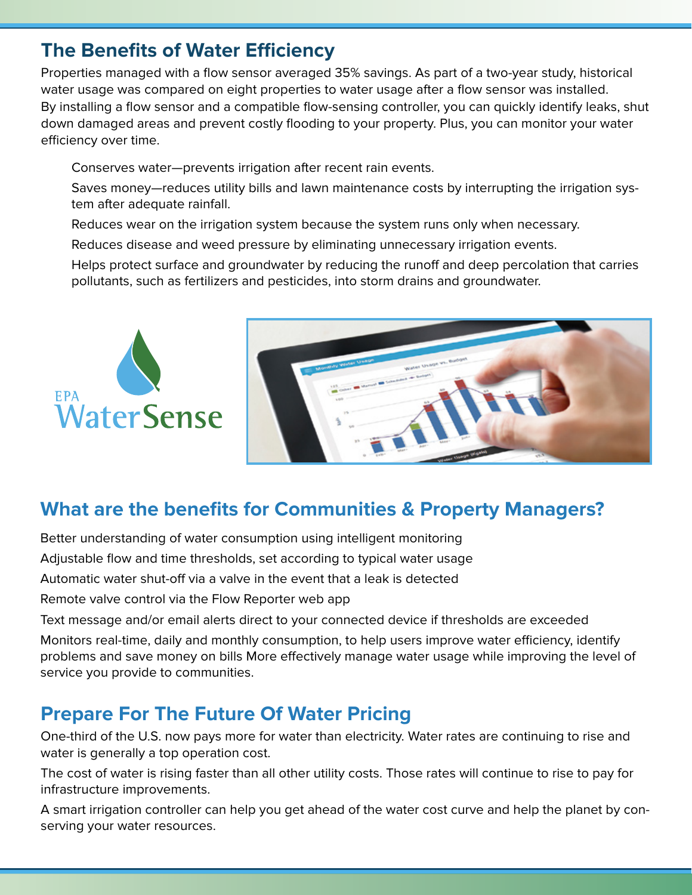#### **The Benefits of Water Efficiency**

Properties managed with a flow sensor averaged 35% savings. As part of a two-year study, historical water usage was compared on eight properties to water usage after a flow sensor was installed. By installing a flow sensor and a compatible flow-sensing controller, you can quickly identify leaks, shut down damaged areas and prevent costly flooding to your property. Plus, you can monitor your water efficiency over time.

Conserves water—prevents irrigation after recent rain events.

Saves money—reduces utility bills and lawn maintenance costs by interrupting the irrigation system after adequate rainfall.

Reduces wear on the irrigation system because the system runs only when necessary.

Reduces disease and weed pressure by eliminating unnecessary irrigation events.

Helps protect surface and groundwater by reducing the runoff and deep percolation that carries pollutants, such as fertilizers and pesticides, into storm drains and groundwater.



## **What are the benefits for Communities & Property Managers?**

Better understanding of water consumption using intelligent monitoring

Adjustable flow and time thresholds, set according to typical water usage

Automatic water shut-off via a valve in the event that a leak is detected

Remote valve control via the Flow Reporter web app

Text message and/or email alerts direct to your connected device if thresholds are exceeded

Monitors real-time, daily and monthly consumption, to help users improve water efficiency, identify problems and save money on bills More effectively manage water usage while improving the level of service you provide to communities.

#### **Prepare For The Future Of Water Pricing**

One-third of the U.S. now pays more for water than electricity. Water rates are continuing to rise and water is generally a top operation cost.

The cost of water is rising faster than all other utility costs. Those rates will continue to rise to pay for infrastructure improvements.

A smart irrigation controller can help you get ahead of the water cost curve and help the planet by conserving your water resources.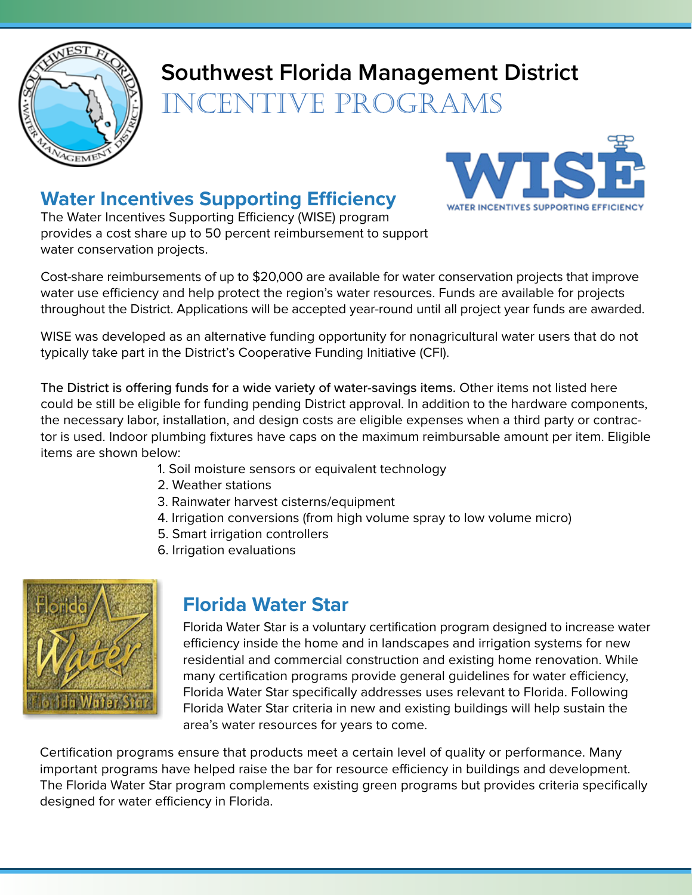

# **Southwest Florida Management District**

Incentive Programs

## **Water Incentives Supporting Efficiency**

The Water Incentives Supporting Efficiency (WISE) program provides a cost share up to 50 percent reimbursement to support water conservation projects.



Cost-share reimbursements of up to \$20,000 are available for water conservation projects that improve water use efficiency and help protect the region's water resources. Funds are available for projects throughout the District. Applications will be accepted year-round until all project year funds are awarded.

WISE was developed as an alternative funding opportunity for nonagricultural water users that do not typically take part in the District's Cooperative Funding Initiative (CFI).

The District is offering funds for a wide variety of water-savings items. Other items not listed here could be still be eligible for funding pending District approval. In addition to the hardware components, the necessary labor, installation, and design costs are eligible expenses when a third party or contractor is used. Indoor plumbing fixtures have caps on the maximum reimbursable amount per item. Eligible items are shown below:

- 1. Soil moisture sensors or equivalent technology
- 2. Weather stations
- 3. Rainwater harvest cisterns/equipment
- 4. Irrigation conversions (from high volume spray to low volume micro)
- 5. Smart irrigation controllers
- 6. Irrigation evaluations



#### **Florida Water Star**

Florida Water Star is a voluntary certification program designed to increase water efficiency inside the home and in landscapes and irrigation systems for new residential and commercial construction and existing home renovation. While many certification programs provide general guidelines for water efficiency, Florida Water Star specifically addresses uses relevant to Florida. Following Florida Water Star criteria in new and existing buildings will help sustain the area's water resources for years to come.

Certification programs ensure that products meet a certain level of quality or performance. Many important programs have helped raise the bar for resource efficiency in buildings and development. The Florida Water Star program complements existing green programs but provides criteria specifically designed for water efficiency in Florida.